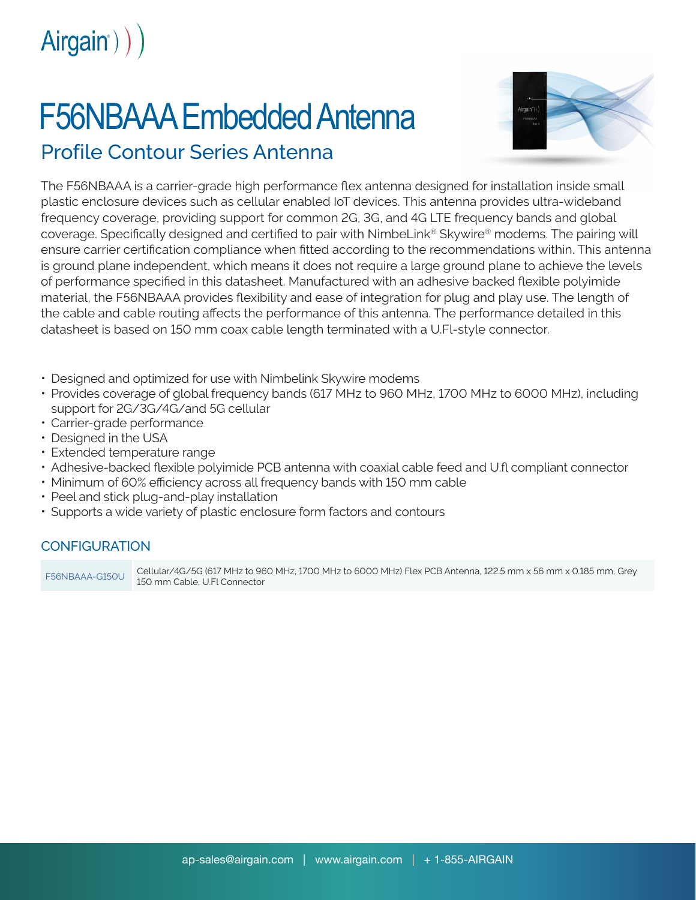

## F56NBAAA Embedded Antenna



## Profile Contour Series Antenna

The F56NBAAA is a carrier-grade high performance flex antenna designed for installation inside small plastic enclosure devices such as cellular enabled IoT devices. This antenna provides ultra-wideband frequency coverage, providing support for common 2G, 3G, and 4G LTE frequency bands and global coverage. Specifically designed and certified to pair with NimbeLink® Skywire® modems. The pairing will ensure carrier certification compliance when fitted according to the recommendations within. This antenna is ground plane independent, which means it does not require a large ground plane to achieve the levels of performance specified in this datasheet. Manufactured with an adhesive backed flexible polyimide material, the F56NBAAA provides flexibility and ease of integration for plug and play use. The length of the cable and cable routing affects the performance of this antenna. The performance detailed in this datasheet is based on 150 mm coax cable length terminated with a U.Fl-style connector.

- Designed and optimized for use with Nimbelink Skywire modems
- Provides coverage of global frequency bands (617 MHz to 960 MHz, 1700 MHz to 6000 MHz), including support for 2G/3G/4G/and 5G cellular
- Carrier-grade performance
- Designed in the USA
- Extended temperature range
- Adhesive-backed flexible polyimide PCB antenna with coaxial cable feed and U.fl compliant connector
- Minimum of 60% efficiency across all frequency bands with 150 mm cable
- Peel and stick plug-and-play installation
- Supports a wide variety of plastic enclosure form factors and contours

## CONFIGURATION

F56NBAAA-G150U Cellular/4G/5G (617 MHz to 960 MHz, 1700 MHz to 6000 MHz) Flex PCB Antenna, 122.5 mm x 56 mm x 0.185 mm, Grey 150 mm Cable, U.Fl Connector